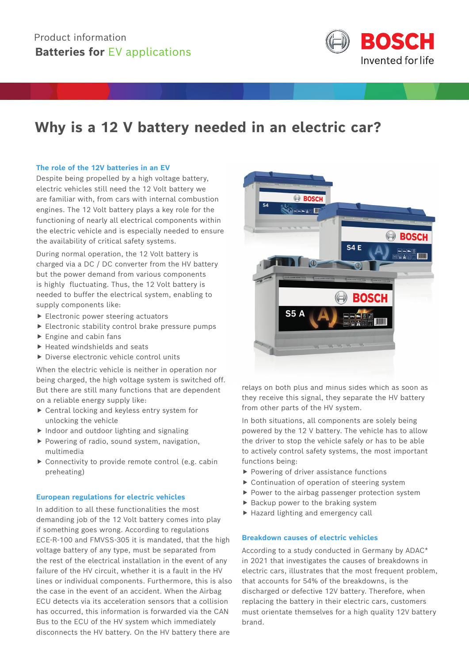

# **Why is a 12 V battery needed in an electric car?**

### **The role of the 12V batteries in an EV**

Despite being propelled by a high voltage battery, electric vehicles still need the 12 Volt battery we are familiar with, from cars with internal combustion engines. The 12 Volt battery plays a key role for the functioning of nearly all electrical components within the electric vehicle and is especially needed to ensure the availability of critical safety systems.

During normal operation, the 12 Volt battery is charged via a DC / DC converter from the HV battery but the power demand from various components is highly fluctuating. Thus, the 12 Volt battery is needed to buffer the electrical system, enabling to supply components like:

- $\blacktriangleright$  Electronic power steering actuators
- $\blacktriangleright$  Electronic stability control brake pressure pumps
- $\blacktriangleright$  Engine and cabin fans
- $\blacktriangleright$  Heated windshields and seats
- $\triangleright$  Diverse electronic vehicle control units

When the electric vehicle is neither in operation nor being charged, the high voltage system is switched off. But there are still many functions that are dependent on a reliable energy supply like:

- $\blacktriangleright$  Central locking and keyless entry system for unlocking the vehicle
- $\blacktriangleright$  Indoor and outdoor lighting and signaling
- $\blacktriangleright$  Powering of radio, sound system, navigation, multimedia
- $\triangleright$  Connectivity to provide remote control (e.g. cabin preheating)

#### **European regulations for electric vehicles**

In addition to all these functionalities the most demanding job of the 12 Volt battery comes into play if something goes wrong. According to regulations ECE-R-100 and FMVSS-305 it is mandated, that the high voltage battery of any type, must be separated from the rest of the electrical installation in the event of any failure of the HV circuit, whether it is a fault in the HV lines or individual components. Furthermore, this is also the case in the event of an accident. When the Airbag ECU detects via its acceleration sensors that a collision has occurred, this information is forwarded via the CAN Bus to the ECU of the HV system which immediately disconnects the HV battery. On the HV battery there are



relays on both plus and minus sides which as soon as they receive this signal, they separate the HV battery from other parts of the HV system.

In both situations, all components are solely being powered by the 12 V battery. The vehicle has to allow the driver to stop the vehicle safely or has to be able to actively control safety systems, the most important functions being:

- $\blacktriangleright$  Powering of driver assistance functions
- $\triangleright$  Continuation of operation of steering system
- $\blacktriangleright$  Power to the airbag passenger protection system
- $\blacktriangleright$  Backup power to the braking system
- $\blacktriangleright$  Hazard lighting and emergency call

### **Breakdown causes of electric vehicles**

According to a study conducted in Germany by ADAC\* in 2021 that investigates the causes of breakdowns in electric cars, illustrates that the most frequent problem, that accounts for 54% of the breakdowns, is the discharged or defective 12V battery. Therefore, when replacing the battery in their electric cars, customers must orientate themselves for a high quality 12V battery brand.